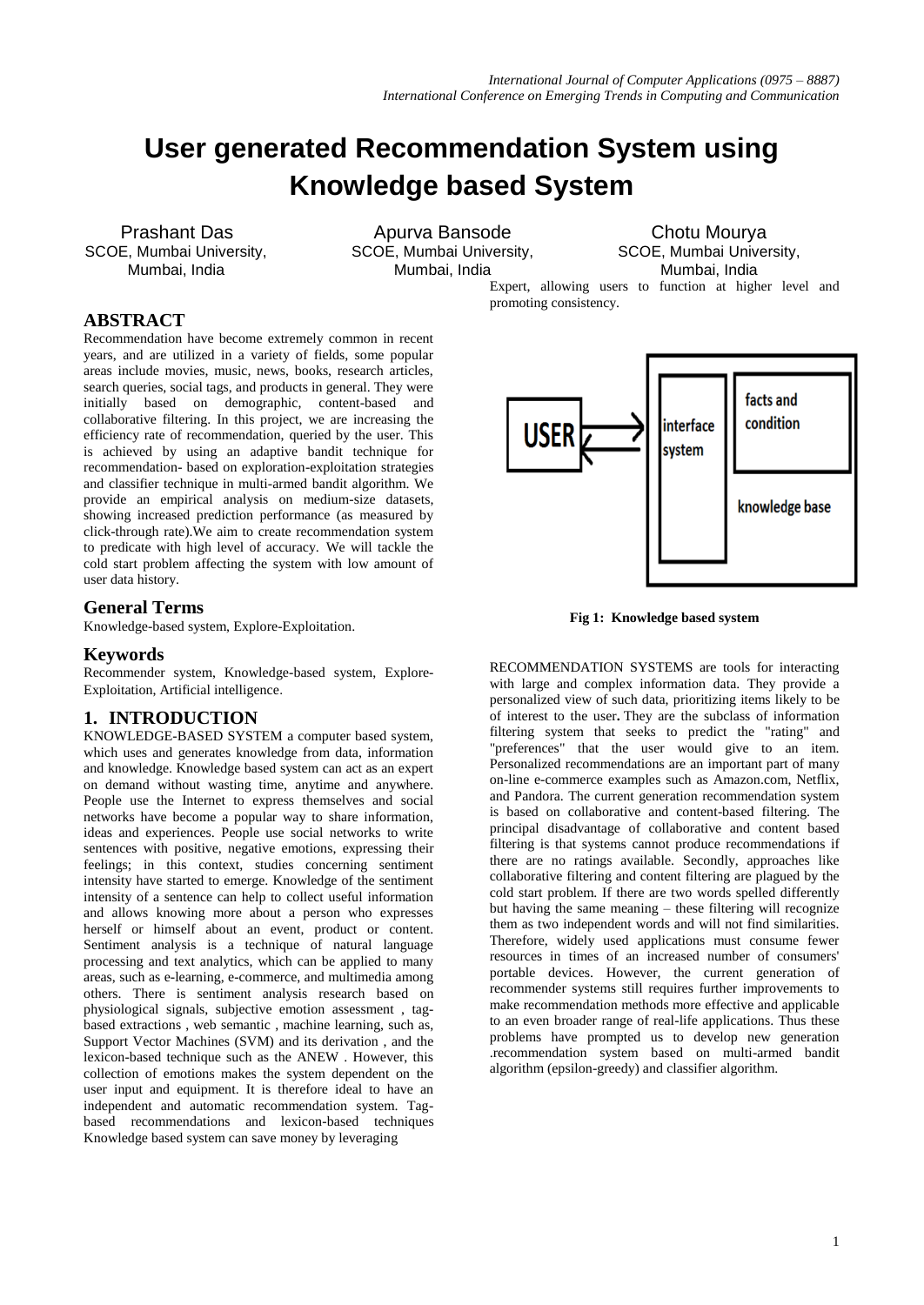promoting consistency.

# **User generated Recommendation System using Knowledge based System**

SCOE, Mumbai University, SCOE, Mumbai University, SCOE, Mumbai University,

Prashant Das **Apurva Bansode** Chotu Mourya Mumbai, India Mumbai, India Mumbai, India

Expert, allowing users to function at higher level and

**ABSTRACT**

Recommendation have become extremely common in recent years, and are utilized in a variety of fields, some popular areas include movies, music, news, books, research articles, search queries, social tags, and products in general. They were initially based on demographic, content-based and collaborative filtering. In this project, we are increasing the efficiency rate of recommendation, queried by the user. This is achieved by using an adaptive bandit technique for recommendation- based on exploration-exploitation strategies and classifier technique in multi-armed bandit algorithm. We provide an empirical analysis on medium-size datasets, showing increased prediction performance (as measured by click-through rate).We aim to create recommendation system to predicate with high level of accuracy. We will tackle the cold start problem affecting the system with low amount of user data history.

# **General Terms**

Knowledge-based system, Explore-Exploitation.

## **Keywords**

Recommender system, Knowledge-based system, Explore-Exploitation, Artificial intelligence.

# **1. INTRODUCTION**

KNOWLEDGE-BASED SYSTEM a computer based system, which uses and generates knowledge from data, information and knowledge. Knowledge based system can act as an expert on demand without wasting time, anytime and anywhere. People use the Internet to express themselves and social networks have become a popular way to share information, ideas and experiences. People use social networks to write sentences with positive, negative emotions, expressing their feelings; in this context, studies concerning sentiment intensity have started to emerge. Knowledge of the sentiment intensity of a sentence can help to collect useful information and allows knowing more about a person who expresses herself or himself about an event, product or content. Sentiment analysis is a technique of natural language processing and text analytics, which can be applied to many areas, such as e-learning, e-commerce, and multimedia among others. There is sentiment analysis research based on physiological signals, subjective emotion assessment , tagbased extractions , web semantic , machine learning, such as, Support Vector Machines (SVM) and its derivation , and the lexicon-based technique such as the ANEW . However, this collection of emotions makes the system dependent on the user input and equipment. It is therefore ideal to have an independent and automatic recommendation system. Tagbased recommendations and lexicon-based techniques Knowledge based system can save money by leveraging



**Fig 1: Knowledge based system**

RECOMMENDATION SYSTEMS are tools for interacting with large and complex information data. They provide a personalized view of such data, prioritizing items likely to be of interest to the user**.** They are the subclass of information filtering system that seeks to predict the "rating" and "preferences" that the user would give to an item. Personalized recommendations are an important part of many on-line e-commerce examples such as Amazon.com, Netflix, and Pandora. The current generation recommendation system is based on collaborative and content-based filtering. The principal disadvantage of collaborative and content based filtering is that systems cannot produce recommendations if there are no ratings available. Secondly, approaches like collaborative filtering and content filtering are plagued by the cold start problem. If there are two words spelled differently but having the same meaning – these filtering will recognize them as two independent words and will not find similarities. Therefore, widely used applications must consume fewer resources in times of an increased number of consumers' portable devices. However, the current generation of recommender systems still requires further improvements to make recommendation methods more effective and applicable to an even broader range of real-life applications. Thus these problems have prompted us to develop new generation .recommendation system based on multi-armed bandit algorithm (epsilon-greedy) and classifier algorithm.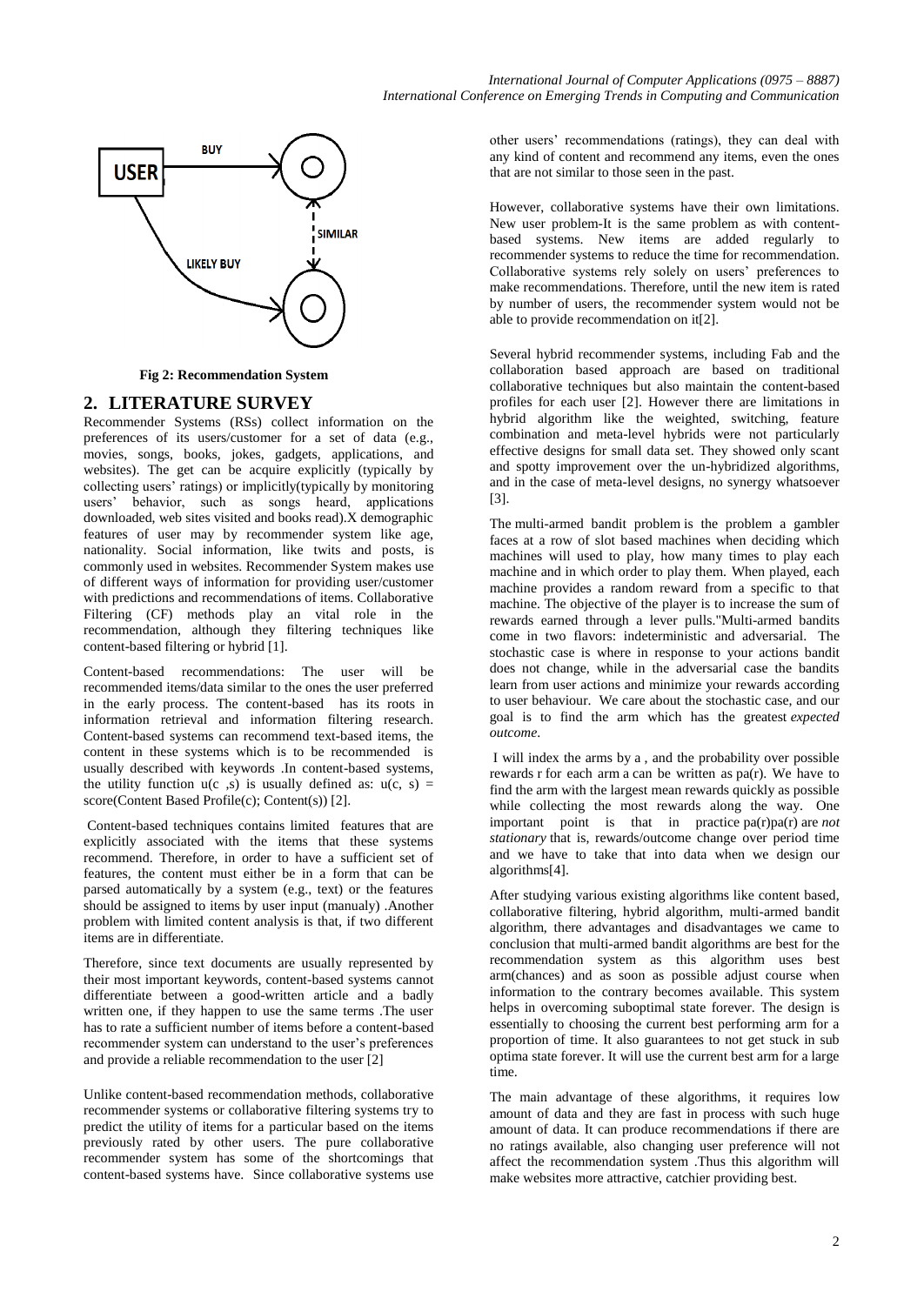

**Fig 2: Recommendation System**

# **2. LITERATURE SURVEY**

Recommender Systems (RSs) collect information on the preferences of its users/customer for a set of data (e.g., movies, songs, books, jokes, gadgets, applications, and websites). The get can be acquire explicitly (typically by collecting users' ratings) or implicitly(typically by monitoring users' behavior, such as songs heard, applications downloaded, web sites visited and books read).X demographic features of user may by recommender system like age, nationality. Social information, like twits and posts, is commonly used in websites. Recommender System makes use of different ways of information for providing user/customer with predictions and recommendations of items. Collaborative Filtering (CF) methods play an vital role in the recommendation, although they filtering techniques like content-based filtering or hybrid [1].

Content-based recommendations: The user will be recommended items/data similar to the ones the user preferred in the early process. The content-based has its roots in information retrieval and information filtering research. Content-based systems can recommend text-based items, the content in these systems which is to be recommended is usually described with keywords .In content-based systems, the utility function  $u(c, s)$  is usually defined as:  $u(c, s)$  = score(Content Based Profile(c); Content(s)) [2].

Content-based techniques contains limited features that are explicitly associated with the items that these systems recommend. Therefore, in order to have a sufficient set of features, the content must either be in a form that can be parsed automatically by a system (e.g., text) or the features should be assigned to items by user input (manualy) .Another problem with limited content analysis is that, if two different items are in differentiate.

Therefore, since text documents are usually represented by their most important keywords, content-based systems cannot differentiate between a good-written article and a badly written one, if they happen to use the same terms .The user has to rate a sufficient number of items before a content-based recommender system can understand to the user's preferences and provide a reliable recommendation to the user [2]

Unlike content-based recommendation methods, collaborative recommender systems or collaborative filtering systems try to predict the utility of items for a particular based on the items previously rated by other users. The pure collaborative recommender system has some of the shortcomings that content-based systems have. Since collaborative systems use

other users' recommendations (ratings), they can deal with any kind of content and recommend any items, even the ones that are not similar to those seen in the past.

However, collaborative systems have their own limitations. New user problem-It is the same problem as with contentbased systems. New items are added regularly to recommender systems to reduce the time for recommendation. Collaborative systems rely solely on users' preferences to make recommendations. Therefore, until the new item is rated by number of users, the recommender system would not be able to provide recommendation on it[2].

Several hybrid recommender systems, including Fab and the collaboration based approach are based on traditional collaborative techniques but also maintain the content-based profiles for each user [2]. However there are limitations in hybrid algorithm like the weighted, switching, feature combination and meta-level hybrids were not particularly effective designs for small data set. They showed only scant and spotty improvement over the un-hybridized algorithms, and in the case of meta-level designs, no synergy whatsoever [3].

The multi-armed bandit problem is the problem a gambler faces at a row of slot based machines when deciding which machines will used to play, how many times to play each machine and in which order to play them. When played, each machine provides a random reward from a specific to that machine. The objective of the player is to increase the sum of rewards earned through a lever pulls."Multi-armed bandits come in two flavors: indeterministic and adversarial. The stochastic case is where in response to your actions bandit does not change, while in the adversarial case the bandits learn from user actions and minimize your rewards according to user behaviour. We care about the stochastic case, and our goal is to find the arm which has the greatest *expected outcome*.

I will index the arms by a , and the probability over possible rewards r for each arm a can be written as  $pa(r)$ . We have to find the arm with the largest mean rewards quickly as possible while collecting the most rewards along the way. One important point is that in practice pa(r)pa(r) are *not stationary* that is, rewards/outcome change over period time and we have to take that into data when we design our algorithms[4].

After studying various existing algorithms like content based, collaborative filtering, hybrid algorithm, multi-armed bandit algorithm, there advantages and disadvantages we came to conclusion that multi-armed bandit algorithms are best for the recommendation system as this algorithm uses best arm(chances) and as soon as possible adjust course when information to the contrary becomes available. This system helps in overcoming suboptimal state forever. The design is essentially to choosing the current best performing arm for a proportion of time. It also guarantees to not get stuck in sub optima state forever. It will use the current best arm for a large time.

The main advantage of these algorithms, it requires low amount of data and they are fast in process with such huge amount of data. It can produce recommendations if there are no ratings available, also changing user preference will not affect the recommendation system .Thus this algorithm will make websites more attractive, catchier providing best.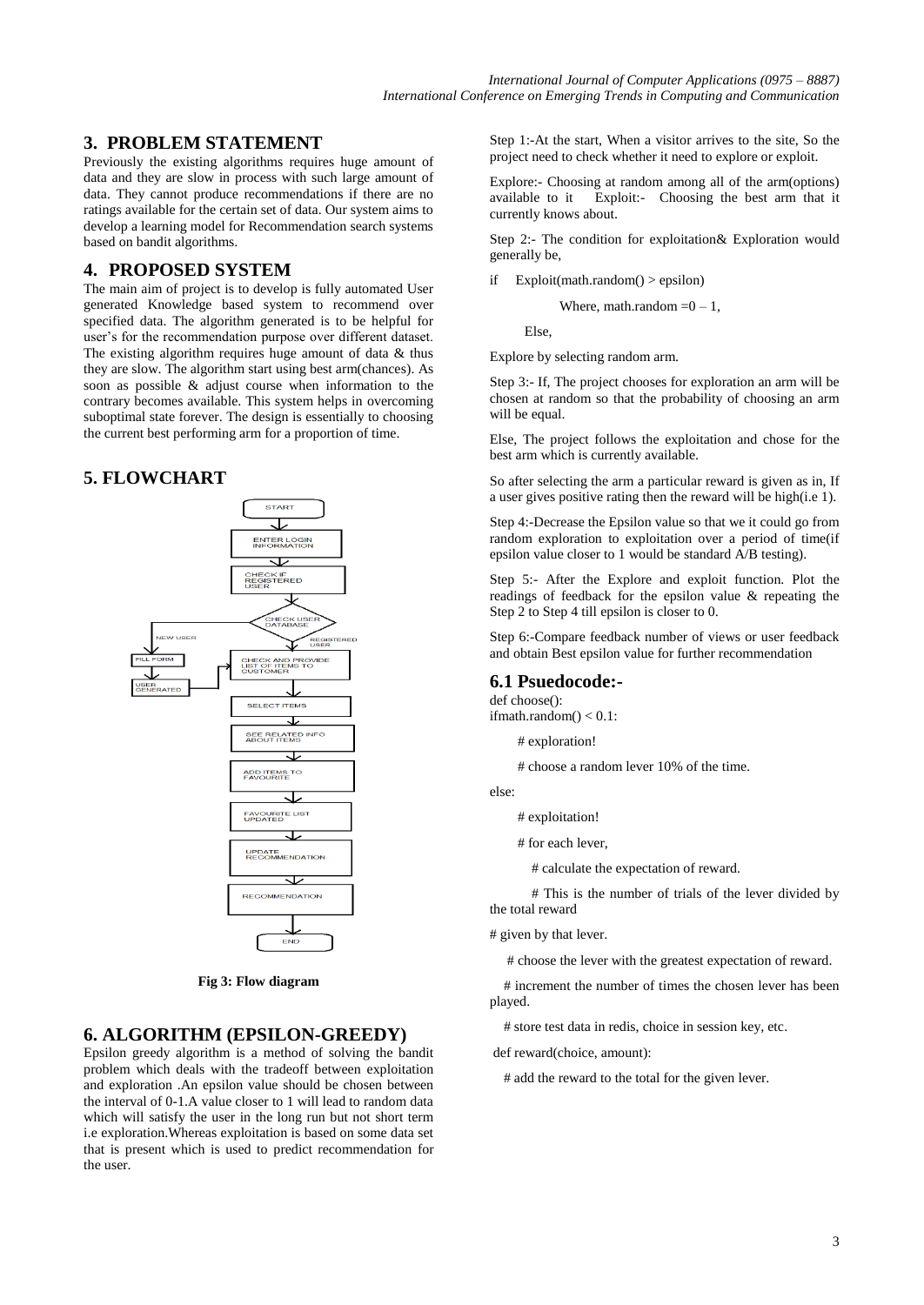# **3. PROBLEM STATEMENT**

Previously the existing algorithms requires huge amount of data and they are slow in process with such large amount of data. They cannot produce recommendations if there are no ratings available for the certain set of data. Our system aims to develop a learning model for Recommendation search systems based on bandit algorithms.

# **4. PROPOSED SYSTEM**

The main aim of project is to develop is fully automated User generated Knowledge based system to recommend over specified data. The algorithm generated is to be helpful for user's for the recommendation purpose over different dataset. The existing algorithm requires huge amount of data & thus they are slow. The algorithm start using best arm(chances). As soon as possible & adjust course when information to the contrary becomes available. This system helps in overcoming suboptimal state forever. The design is essentially to choosing the current best performing arm for a proportion of time.

# **5. FLOWCHART**



**Fig 3: Flow diagram**

# **6. ALGORITHM (EPSILON-GREEDY)**

Epsilon greedy algorithm is a method of solving the bandit problem which deals with the tradeoff between exploitation and exploration .An epsilon value should be chosen between the interval of 0-1.A value closer to 1 will lead to random data which will satisfy the user in the long run but not short term i.e exploration.Whereas exploitation is based on some data set that is present which is used to predict recommendation for the user.

Step 1:-At the start, When a visitor arrives to the site, So the project need to check whether it need to explore or exploit.

Explore:- Choosing at random among all of the arm(options) available to it Exploit:- Choosing the best arm that it currently knows about.

Step 2:- The condition for exploitation& Exploration would generally be,

if Exploit(math.random() > epsilon)

Where, math.random  $=0-1$ ,

Else,

Explore by selecting random arm.

Step 3:- If, The project chooses for exploration an arm will be chosen at random so that the probability of choosing an arm will be equal.

Else, The project follows the exploitation and chose for the best arm which is currently available.

So after selecting the arm a particular reward is given as in, If a user gives positive rating then the reward will be high(i.e 1).

Step 4:-Decrease the Epsilon value so that we it could go from random exploration to exploitation over a period of time(if epsilon value closer to 1 would be standard A/B testing).

Step 5:- After the Explore and exploit function. Plot the readings of feedback for the epsilon value & repeating the Step 2 to Step 4 till epsilon is closer to 0.

Step 6:-Compare feedback number of views or user feedback and obtain Best epsilon value for further recommendation

#### **6.1 Psuedocode:-**

def choose(): ifmath.random $() < 0.1$ :

# exploration!

# choose a random lever 10% of the time.

else:

# exploitation!

# for each lever,

# calculate the expectation of reward.

 # This is the number of trials of the lever divided by the total reward

# given by that lever.

# choose the lever with the greatest expectation of reward.

 # increment the number of times the chosen lever has been played.

# store test data in redis, choice in session key, etc.

def reward(choice, amount):

# add the reward to the total for the given lever.